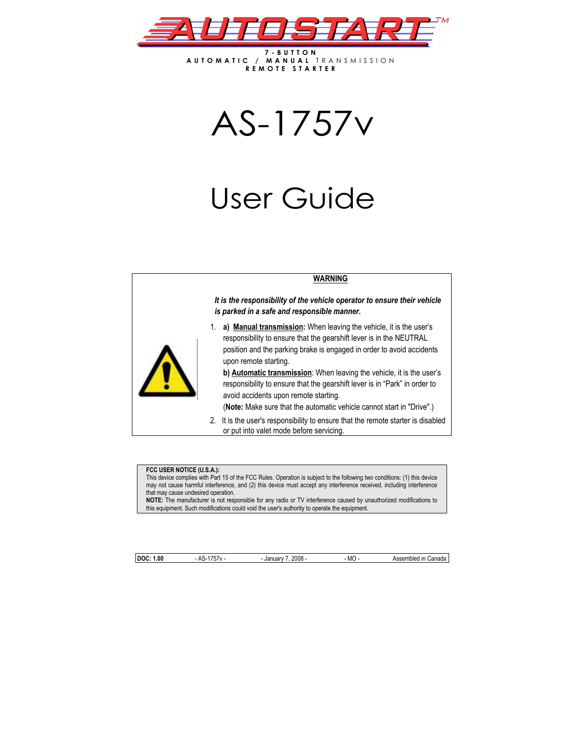

**7-BUTTON AUTOMATIC / MANUAL** TRANSMISSION **REMOTE STARTER**

AS-1757v

# User Guide

## **WARNING**



*It is the responsibility of the vehicle operator to ensure their vehicle is parked in a safe and responsible manner.* 

1. **a) Manual transmission:** When leaving the vehicle, it is the user's responsibility to ensure that the gearshift lever is in the NEUTRAL position and the parking brake is engaged in order to avoid accidents upon remote starting.

**b) Automatic transmission**: When leaving the vehicle, it is the user's responsibility to ensure that the gearshift lever is in "Park" in order to avoid accidents upon remote starting.

(**Note:** Make sure that the automatic vehicle cannot start in "Drive".)

2. It is the user's responsibility to ensure that the remote starter is disabled or put into valet mode before servicing.

#### **FCC USER NOTICE (U.S.A.):**

This device complies with Part 15 of the FCC Rules. Operation is subject to the following two conditions: (1) this device may not cause harmful interference, and (2) this device must accept any interference received, including interference that may cause undesired operation.

**NOTE:** The manufacturer is not responsible for any radio or TV interference caused by unauthorized modifications to this equipment. Such modifications could void the user's authority to operate the equipment.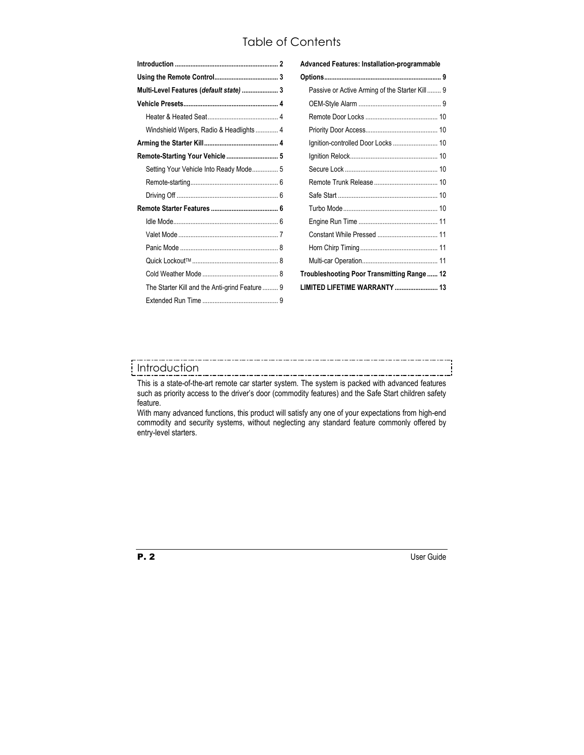# Table of Contents

| Multi-Level Features (default state)  3       |  |
|-----------------------------------------------|--|
|                                               |  |
|                                               |  |
| Windshield Wipers, Radio & Headlights 4       |  |
|                                               |  |
| Remote-Starting Your Vehicle  5               |  |
| Setting Your Vehicle Into Ready Mode 5        |  |
|                                               |  |
|                                               |  |
|                                               |  |
|                                               |  |
|                                               |  |
|                                               |  |
|                                               |  |
|                                               |  |
| The Starter Kill and the Anti-grind Feature 9 |  |
|                                               |  |
|                                               |  |

| Advanced Features: Installation-programmable   |  |  |  |  |
|------------------------------------------------|--|--|--|--|
|                                                |  |  |  |  |
| Passive or Active Arming of the Starter Kill 9 |  |  |  |  |
|                                                |  |  |  |  |
|                                                |  |  |  |  |
|                                                |  |  |  |  |
| Ignition-controlled Door Locks  10             |  |  |  |  |
|                                                |  |  |  |  |
|                                                |  |  |  |  |
|                                                |  |  |  |  |
|                                                |  |  |  |  |
|                                                |  |  |  |  |
|                                                |  |  |  |  |
|                                                |  |  |  |  |
|                                                |  |  |  |  |
|                                                |  |  |  |  |
| Troubleshooting Poor Transmitting Range  12    |  |  |  |  |
| LIMITED LIFETIME WARRANTY  13                  |  |  |  |  |
|                                                |  |  |  |  |

# Introduction

This is a state-of-the-art remote car starter system. The system is packed with advanced features such as priority access to the driver's door (commodity features) and the Safe Start children safety feature.

With many advanced functions, this product will satisfy any one of your expectations from high-end commodity and security systems, without neglecting any standard feature commonly offered by entry-level starters.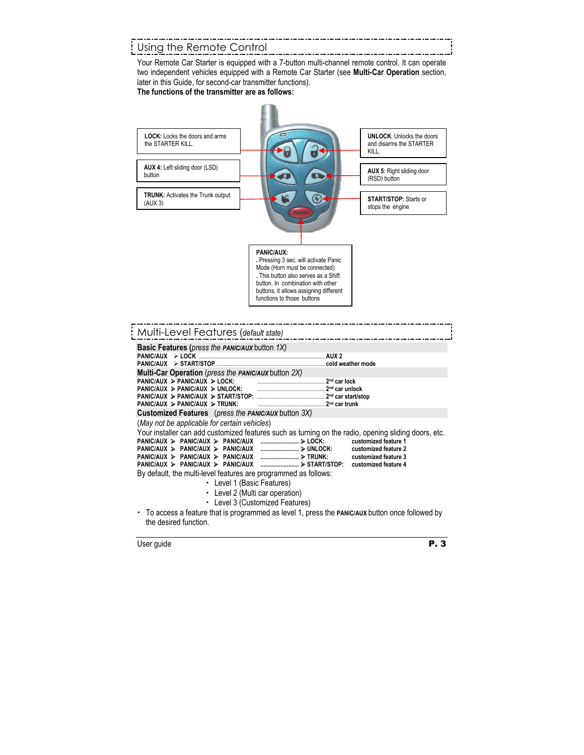## Using the Remote Control

Your Remote Car Starter is equipped with a 7-button multi-channel remote control. It can operate two independent vehicles equipped with a Remote Car Starter (see **Multi-Car Operation** section, later in this Guide, for second-car transmitter functions).

#### **The functions of the transmitter are as follows:**

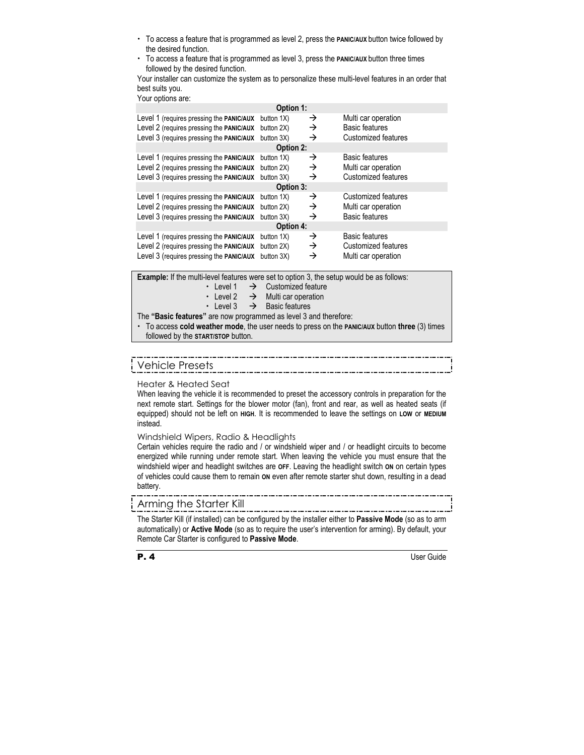- x To access a feature that is programmed as level 2, press the **PANIC/AUX** button twice followed by the desired function.
- x To access a feature that is programmed as level 3, press the **PANIC/AUX** button three times followed by the desired function.

Your installer can customize the system as to personalize these multi-level features in an order that best suits you.

Your options are:

| Option 1:                                       |                  |               |                            |  |  |  |  |
|-------------------------------------------------|------------------|---------------|----------------------------|--|--|--|--|
| Level 1 (requires pressing the <b>PANIC/AUX</b> | button 1X)       | →             | Multi car operation        |  |  |  |  |
| Level 2 (requires pressing the PANIC/AUX        | button 2X)       | →             | <b>Basic features</b>      |  |  |  |  |
| Level 3 (requires pressing the PANIC/AUX        | button 3X)       | →             | <b>Customized features</b> |  |  |  |  |
|                                                 | <b>Option 2:</b> |               |                            |  |  |  |  |
| Level 1 (requires pressing the PANIC/AUX        | button 1X)       | →             | <b>Basic features</b>      |  |  |  |  |
| Level 2 (requires pressing the PANIC/AUX        | button 2X)       | →             | Multi car operation        |  |  |  |  |
| Level 3 (requires pressing the PANIC/AUX        | button 3X)       | →             | <b>Customized features</b> |  |  |  |  |
| Option 3:                                       |                  |               |                            |  |  |  |  |
| Level 1 (requires pressing the <b>PANIC/AUX</b> | button 1X)       | →             | Customized features        |  |  |  |  |
| Level 2 (requires pressing the PANIC/AUX        | button 2X)       | →             | Multi car operation        |  |  |  |  |
| Level 3 (requires pressing the PANIC/AUX        | button 3X)       | $\rightarrow$ | <b>Basic features</b>      |  |  |  |  |
| <b>Option 4:</b>                                |                  |               |                            |  |  |  |  |
| Level 1 (requires pressing the PANIC/AUX        | button 1X)       | →             | <b>Basic features</b>      |  |  |  |  |
| Level 2 (requires pressing the PANIC/AUX        | button 2X)       | →             | Customized features        |  |  |  |  |
| Level 3 (requires pressing the <b>PANIC/AUX</b> | button 3X)       | →             | Multi car operation        |  |  |  |  |

**Example:** If the multi-level features were set to option 3, the setup would be as follows:

- $\cdot$  Level 1  $\rightarrow$  Customized feature
- Evel 2  $\rightarrow$  Multi car operation
- Level 3  $\rightarrow$  Basic features

The **"Basic features"** are now programmed as level 3 and therefore:

x To access **cold weather mode**, the user needs to press on the **PANIC/AUX** button **three** (3) times followed by the **START/STOP** button.

# Vehicle Presets

Heater & Heated Seat

When leaving the vehicle it is recommended to preset the accessory controls in preparation for the next remote start. Settings for the blower motor (fan), front and rear, as well as heated seats (if equipped) should not be left on **HIGH**. It is recommended to leave the settings on **LOW** or **MEDIUM** instead.

Windshield Wipers, Radio & Headlights

Certain vehicles require the radio and / or windshield wiper and / or headlight circuits to become energized while running under remote start. When leaving the vehicle you must ensure that the windshield wiper and headlight switches are **OFF**. Leaving the headlight switch **ON** on certain types of vehicles could cause them to remain **ON** even after remote starter shut down, resulting in a dead battery.

## Arming the Starter Kill

The Starter Kill (if installed) can be configured by the installer either to **Passive Mode** (so as to arm automatically) or **Active Mode** (so as to require the user's intervention for arming). By default, your Remote Car Starter is configured to **Passive Mode**.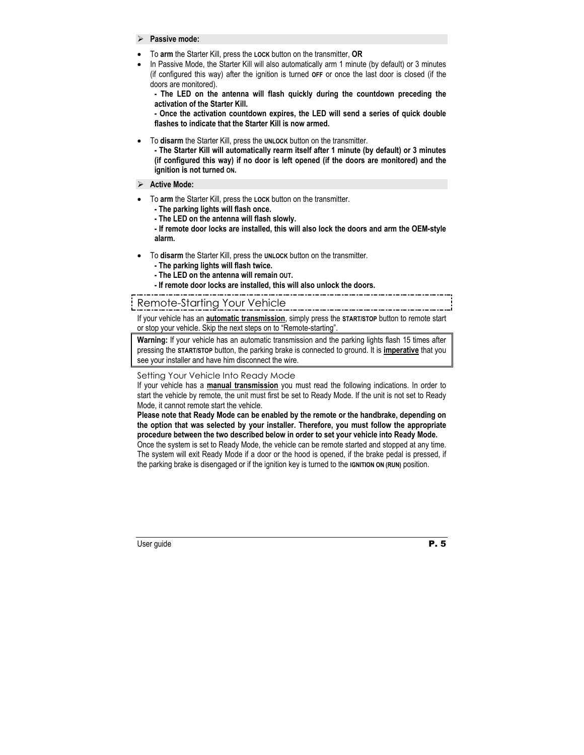#### ¾ **Passive mode:**

- To **arm** the Starter Kill, press the **LOCK** button on the transmitter, **OR**
- In Passive Mode, the Starter Kill will also automatically arm 1 minute (by default) or 3 minutes (if configured this way) after the ignition is turned **OFF** or once the last door is closed (if the doors are monitored).

**- The LED on the antenna will flash quickly during the countdown preceding the activation of the Starter Kill.** 

**- Once the activation countdown expires, the LED will send a series of quick double flashes to indicate that the Starter Kill is now armed.** 

• To **disarm** the Starter Kill, press the **UNLOCK** button on the transmitter.

**- The Starter Kill will automatically rearm itself after 1 minute (by default) or 3 minutes (if configured this way) if no door is left opened (if the doors are monitored) and the ignition is not turned ON.** 

- ¾ **Active Mode:**
- To **arm** the Starter Kill, press the **LOCK** button on the transmitter.
	- **The parking lights will flash once.**
	- **The LED on the antenna will flash slowly.**
	- **If remote door locks are installed, this will also lock the doors and arm the OEM-style alarm.**
- To **disarm** the Starter Kill, press the **UNLOCK** button on the transmitter.
	- **The parking lights will flash twice.**
	- **The LED on the antenna will remain OUT.**
	- **If remote door locks are installed, this will also unlock the doors.**

## Remote-Starting Your Vehicle

If your vehicle has an **automatic transmission**, simply press the **START/STOP** button to remote start or stop your vehicle. Skip the next steps on to "Remote-starting".

**Warning:** If your vehicle has an automatic transmission and the parking lights flash 15 times after pressing the **START/STOP** button, the parking brake is connected to ground. It is **imperative** that you see your installer and have him disconnect the wire.

#### Setting Your Vehicle Into Ready Mode

If your vehicle has a **manual transmission** you must read the following indications. In order to start the vehicle by remote, the unit must first be set to Ready Mode. If the unit is not set to Ready Mode, it cannot remote start the vehicle.

**Please note that Ready Mode can be enabled by the remote or the handbrake, depending on the option that was selected by your installer. Therefore, you must follow the appropriate procedure between the two described below in order to set your vehicle into Ready Mode.** 

Once the system is set to Ready Mode, the vehicle can be remote started and stopped at any time. The system will exit Ready Mode if a door or the hood is opened, if the brake pedal is pressed, if the parking brake is disengaged or if the ignition key is turned to the **IGNITION ON (RUN)** position.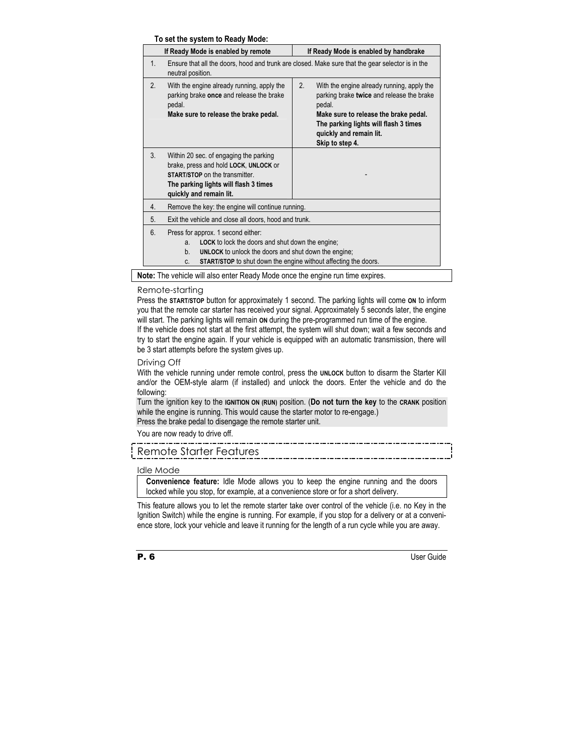#### **To set the system to Ready Mode:**

| If Ready Mode is enabled by remote                                                                                                                                                                                                                                                |                                                                                                                                                                                       | If Ready Mode is enabled by handbrake                                                                                                                                                                                                   |  |  |  |
|-----------------------------------------------------------------------------------------------------------------------------------------------------------------------------------------------------------------------------------------------------------------------------------|---------------------------------------------------------------------------------------------------------------------------------------------------------------------------------------|-----------------------------------------------------------------------------------------------------------------------------------------------------------------------------------------------------------------------------------------|--|--|--|
| $1_{-}$                                                                                                                                                                                                                                                                           | Ensure that all the doors, hood and trunk are closed. Make sure that the gear selector is in the<br>neutral position.                                                                 |                                                                                                                                                                                                                                         |  |  |  |
| 2.                                                                                                                                                                                                                                                                                | With the engine already running, apply the<br>parking brake once and release the brake<br>pedal.<br>Make sure to release the brake pedal.                                             | 2.<br>With the engine already running, apply the<br>parking brake twice and release the brake<br>pedal.<br>Make sure to release the brake pedal.<br>The parking lights will flash 3 times<br>quickly and remain lit.<br>Skip to step 4. |  |  |  |
| 3 <sub>1</sub>                                                                                                                                                                                                                                                                    | Within 20 sec. of engaging the parking<br>brake, press and hold LOCK, UNLOCK or<br>START/STOP on the transmitter.<br>The parking lights will flash 3 times<br>quickly and remain lit. |                                                                                                                                                                                                                                         |  |  |  |
| Remove the key: the engine will continue running.<br>4.                                                                                                                                                                                                                           |                                                                                                                                                                                       |                                                                                                                                                                                                                                         |  |  |  |
| 5.                                                                                                                                                                                                                                                                                | Exit the vehicle and close all doors, hood and trunk.                                                                                                                                 |                                                                                                                                                                                                                                         |  |  |  |
| $6 \overline{6}$<br>Press for approx. 1 second either:<br><b>LOCK</b> to lock the doors and shut down the engine;<br>a.<br><b>UNLOCK</b> to unlock the doors and shut down the engine;<br>$b_{1}$<br><b>START/STOP</b> to shut down the engine without affecting the doors.<br>C. |                                                                                                                                                                                       |                                                                                                                                                                                                                                         |  |  |  |

**Note:** The vehicle will also enter Ready Mode once the engine run time expires.

#### Remote-starting

Press the **START/STOP** button for approximately 1 second. The parking lights will come **ON** to inform you that the remote car starter has received your signal. Approximately 5 seconds later, the engine will start. The parking lights will remain **ON** during the pre-programmed run time of the engine. If the vehicle does not start at the first attempt, the system will shut down; wait a few seconds and try to start the engine again. If your vehicle is equipped with an automatic transmission, there will be 3 start attempts before the system gives up.

#### Driving Off

With the vehicle running under remote control, press the **UNLOCK** button to disarm the Starter Kill and/or the OEM-style alarm (if installed) and unlock the doors. Enter the vehicle and do the following:

Turn the ignition key to the **IGNITION ON (RUN)** position. (**Do not turn the key** to the **CRANK** position while the engine is running. This would cause the starter motor to re-engage.) Press the brake pedal to disengage the remote starter unit.

You are now ready to drive off.

## Remote Starter Features

#### Idle Mode

**Convenience feature:** Idle Mode allows you to keep the engine running and the doors locked while you stop, for example, at a convenience store or for a short delivery.

This feature allows you to let the remote starter take over control of the vehicle (i.e. no Key in the Ignition Switch) while the engine is running. For example, if you stop for a delivery or at a convenience store, lock your vehicle and leave it running for the length of a run cycle while you are away.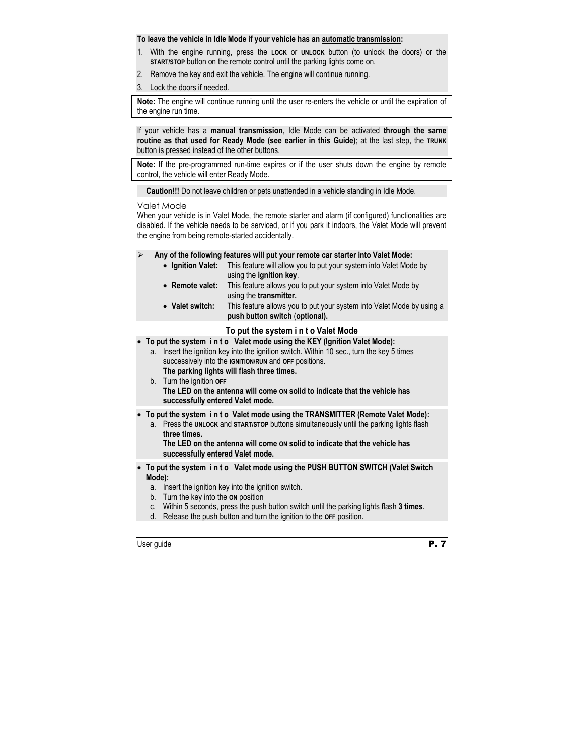#### **To leave the vehicle in Idle Mode if your vehicle has an automatic transmission:**

- 1. With the engine running, press the **LOCK** or **UNLOCK** button (to unlock the doors) or the **START/STOP** button on the remote control until the parking lights come on.
- 2. Remove the key and exit the vehicle. The engine will continue running.
- 3. Lock the doors if needed.

**Note:** The engine will continue running until the user re-enters the vehicle or until the expiration of the engine run time.

If your vehicle has a **manual transmission**, Idle Mode can be activated **through the same routine as that used for Ready Mode (see earlier in this Guide)**; at the last step, the **TRUNK** button is pressed instead of the other buttons.

**Note:** If the pre-programmed run-time expires or if the user shuts down the engine by remote control, the vehicle will enter Ready Mode.

**Caution!!!** Do not leave children or pets unattended in a vehicle standing in Idle Mode.

#### Valet Mode

When your vehicle is in Valet Mode, the remote starter and alarm (if configured) functionalities are disabled. If the vehicle needs to be serviced, or if you park it indoors, the Valet Mode will prevent the engine from being remote-started accidentally.

#### ¾ **Any of the following features will put your remote car starter into Valet Mode:**

- **Ignition Valet:** This feature will allow you to put your system into Valet Mode by using the **ignition key**.
- **Remote valet:** This feature allows you to put your system into Valet Mode by using the **transmitter.**
- **Valet switch:** This feature allows you to put your system into Valet Mode by using a  **push button switch** (**optional).**

#### **To put the system i n t o Valet Mode**

• **To put the system i n t o Valet mode using the KEY (Ignition Valet Mode):** 

- a. Insert the ignition key into the ignition switch. Within 10 sec., turn the key 5 times successively into the **IGNITION/RUN** and **OFF** positions.
- **The parking lights will flash three times.**  b. Turn the ignition **OFF**
	- **The LED on the antenna will come ON solid to indicate that the vehicle has successfully entered Valet mode.**
- **To put the system i n t o Valet mode using the TRANSMITTER (Remote Valet Mode):** 
	- a. Press the **UNLOCK** and **START/STOP** buttons simultaneously until the parking lights flash  **three times.**

 **The LED on the antenna will come ON solid to indicate that the vehicle has successfully entered Valet mode.** 

- **To put the system i n t o Valet mode using the PUSH BUTTON SWITCH (Valet Switch Mode):** 
	- a. Insert the ignition key into the ignition switch.
	- b. Turn the key into the **ON** position
	- c. Within 5 seconds, press the push button switch until the parking lights flash **3 times**.
	- d. Release the push button and turn the ignition to the **OFF** position.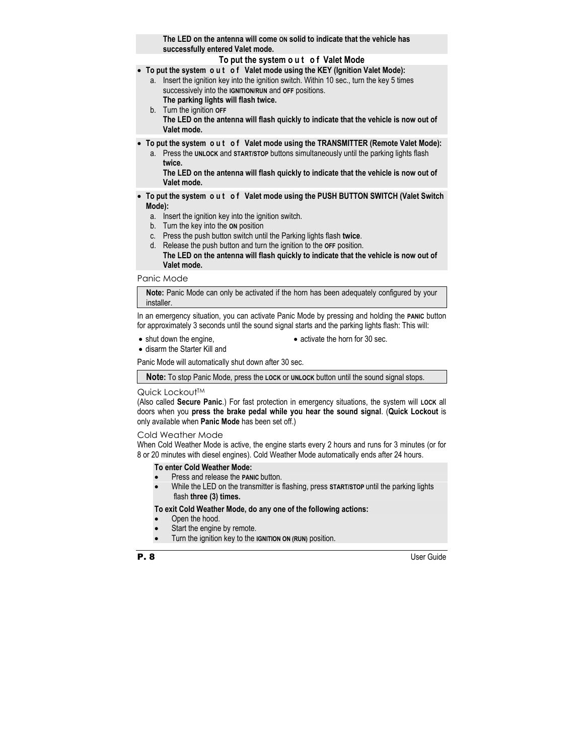**The LED on the antenna will come ON solid to indicate that the vehicle has successfully entered Valet mode.** 

## **To put the system o u t o f Valet Mode**

- **To put the system o u t o f Valet mode using the KEY (Ignition Valet Mode):** 
	- a. Insert the ignition key into the ignition switch. Within 10 sec., turn the key 5 times successively into the **IGNITION/RUN** and **OFF** positions. **The parking lights will flash twice.**
	- b. Turn the ignition **OFF The LED on the antenna will flash quickly to indicate that the vehicle is now out of Valet mode.**
- **To put the system o u t o f Valet mode using the TRANSMITTER (Remote Valet Mode):** 
	- a. Press the **UNLOCK** and **START/STOP** buttons simultaneously until the parking lights flash  **twice.**

 **The LED on the antenna will flash quickly to indicate that the vehicle is now out of Valet mode.** 

- **To put the system o u t o f Valet mode using the PUSH BUTTON SWITCH (Valet Switch Mode):** 
	- a. Insert the ignition key into the ignition switch.
	- b. Turn the key into the **ON** position
	- c. Press the push button switch until the Parking lights flash **twice**.
	- d. Release the push button and turn the ignition to the **OFF** position.  **The LED on the antenna will flash quickly to indicate that the vehicle is now out of Valet mode.**

Panic Mode

**Note:** Panic Mode can only be activated if the horn has been adequately configured by your installer.

In an emergency situation, you can activate Panic Mode by pressing and holding the **PANIC** button for approximately 3 seconds until the sound signal starts and the parking lights flash: This will:

• shut down the engine.

• activate the horn for 30 sec.

• disarm the Starter Kill and

Panic Mode will automatically shut down after 30 sec.

**Note:** To stop Panic Mode, press the **LOCK** or **UNLOCK** button until the sound signal stops.

#### Quick Lockout™

(Also called **Secure Panic**.) For fast protection in emergency situations, the system will **LOCK** all doors when you **press the brake pedal while you hear the sound signal**. (**Quick Lockout** is only available when **Panic Mode** has been set off.)

#### Cold Weather Mode

When Cold Weather Mode is active, the engine starts every 2 hours and runs for 3 minutes (or for 8 or 20 minutes with diesel engines). Cold Weather Mode automatically ends after 24 hours.

#### **To enter Cold Weather Mode:**

- Press and release the **PANIC** button.
- While the LED on the transmitter is flashing, press **START/STOP** until the parking lights flash **three (3) times.**

#### **To exit Cold Weather Mode, do any one of the following actions:**

- Open the hood.
- Start the engine by remote.
- Turn the ignition key to the **IGNITION ON (RUN)** position.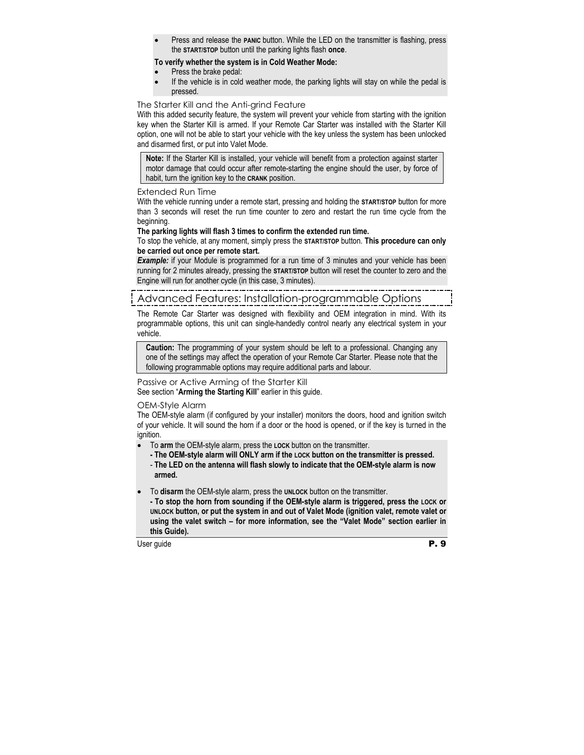Press and release the **PANIC** button. While the LED on the transmitter is flashing, press the **START/STOP** button until the parking lights flash **once**.

## **To verify whether the system is in Cold Weather Mode:**

- Press the brake pedal:
- If the vehicle is in cold weather mode, the parking lights will stay on while the pedal is pressed.

## The Starter Kill and the Anti-grind Feature

With this added security feature, the system will prevent your vehicle from starting with the ignition key when the Starter Kill is armed. If your Remote Car Starter was installed with the Starter Kill option, one will not be able to start your vehicle with the key unless the system has been unlocked and disarmed first, or put into Valet Mode.

**Note:** If the Starter Kill is installed, your vehicle will benefit from a protection against starter motor damage that could occur after remote-starting the engine should the user, by force of habit, turn the ignition key to the **CRANK** position.

#### Extended Run Time

With the vehicle running under a remote start, pressing and holding the **START/STOP** button for more than 3 seconds will reset the run time counter to zero and restart the run time cycle from the beginning.

#### **The parking lights will flash 3 times to confirm the extended run time.**

To stop the vehicle, at any moment, simply press the **START/STOP** button. **This procedure can only be carried out once per remote start.** 

*Example:* if your Module is programmed for a run time of 3 minutes and your vehicle has been running for 2 minutes already, pressing the **START/STOP** button will reset the counter to zero and the Engine will run for another cycle (in this case, 3 minutes).

# Advanced Features: Installation-programmable Options

The Remote Car Starter was designed with flexibility and OEM integration in mind. With its programmable options, this unit can single-handedly control nearly any electrical system in your vehicle.

**Caution:** The programming of your system should be left to a professional. Changing any one of the settings may affect the operation of your Remote Car Starter. Please note that the following programmable options may require additional parts and labour.

Passive or Active Arming of the Starter Kill See section "**Arming the Starting Kill**" earlier in this guide.

#### OEM-Style Alarm

The OEM-style alarm (if configured by your installer) monitors the doors, hood and ignition switch of your vehicle. It will sound the horn if a door or the hood is opened, or if the key is turned in the ignition.

- To **arm** the OEM-style alarm, press the **LOCK** button on the transmitter.
	- **The OEM-style alarm will ONLY arm if the LOCK button on the transmitter is pressed.**
	- **The LED on the antenna will flash slowly to indicate that the OEM-style alarm is now armed.**
- To **disarm** the OEM-style alarm, press the **UNLOCK** button on the transmitter.

 **- To stop the horn from sounding if the OEM-style alarm is triggered, press the LOCK or UNLOCK button, or put the system in and out of Valet Mode (ignition valet, remote valet or using the valet switch – for more information, see the "Valet Mode" section earlier in this Guide).**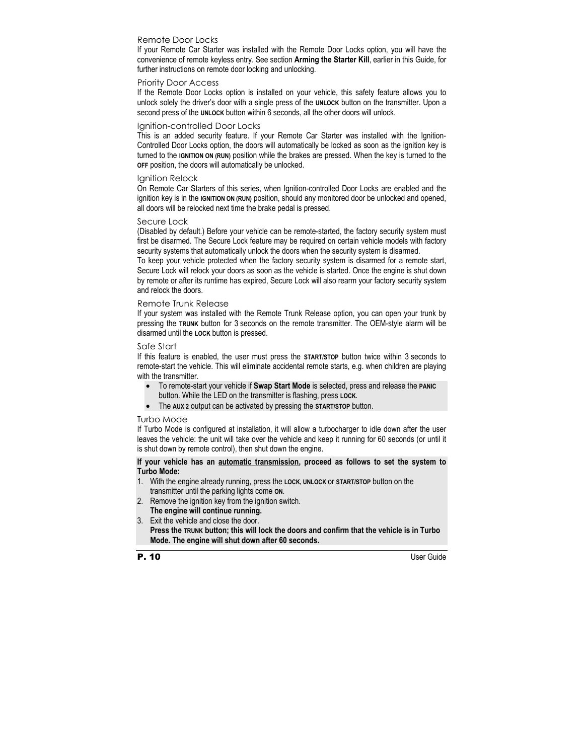### Remote Door Locks

If your Remote Car Starter was installed with the Remote Door Locks option, you will have the convenience of remote keyless entry. See section **Arming the Starter Kill**, earlier in this Guide, for further instructions on remote door locking and unlocking.

#### Priority Door Access

If the Remote Door Locks option is installed on your vehicle, this safety feature allows you to unlock solely the driver's door with a single press of the **UNLOCK** button on the transmitter. Upon a second press of the **UNLOCK** button within 6 seconds, all the other doors will unlock.

#### Ignition-controlled Door Locks

This is an added security feature. If your Remote Car Starter was installed with the Ignition-Controlled Door Locks option, the doors will automatically be locked as soon as the ignition key is turned to the **IGNITION ON (RUN)** position while the brakes are pressed. When the key is turned to the **OFF** position, the doors will automatically be unlocked.

#### Ignition Relock

On Remote Car Starters of this series, when Ignition-controlled Door Locks are enabled and the ignition key is in the **IGNITION ON (RUN)** position, should any monitored door be unlocked and opened, all doors will be relocked next time the brake pedal is pressed.

#### Secure Lock

(Disabled by default.) Before your vehicle can be remote-started, the factory security system must first be disarmed. The Secure Lock feature may be required on certain vehicle models with factory security systems that automatically unlock the doors when the security system is disarmed.

To keep your vehicle protected when the factory security system is disarmed for a remote start, Secure Lock will relock your doors as soon as the vehicle is started. Once the engine is shut down by remote or after its runtime has expired, Secure Lock will also rearm your factory security system and relock the doors.

#### Remote Trunk Release

If your system was installed with the Remote Trunk Release option, you can open your trunk by pressing the **TRUNK** button for 3 seconds on the remote transmitter. The OEM-style alarm will be disarmed until the **LOCK** button is pressed.

#### Safe Start

If this feature is enabled, the user must press the **START/STOP** button twice within 3 seconds to remote-start the vehicle. This will eliminate accidental remote starts, e.g. when children are playing with the transmitter.

- To remote-start your vehicle if **Swap Start Mode** is selected, press and release the **PANIC**  button. While the LED on the transmitter is flashing, press **LOCK.**
- The **AUX 2** output can be activated by pressing the **START/STOP** button.

#### Turbo Mode

If Turbo Mode is configured at installation, it will allow a turbocharger to idle down after the user leaves the vehicle: the unit will take over the vehicle and keep it running for 60 seconds (or until it is shut down by remote control), then shut down the engine.

#### **If your vehicle has an automatic transmission, proceed as follows to set the system to Turbo Mode:**

- 1. With the engine already running, press the **LOCK, UNLOCK** or **START/STOP** button on the transmitter until the parking lights come **ON**.
- 2. Remove the ignition key from the ignition switch. **The engine will continue running.**
- 3. Exit the vehicle and close the door. **Press the TRUNK button; this will lock the doors and confirm that the vehicle is in Turbo Mode. The engine will shut down after 60 seconds.**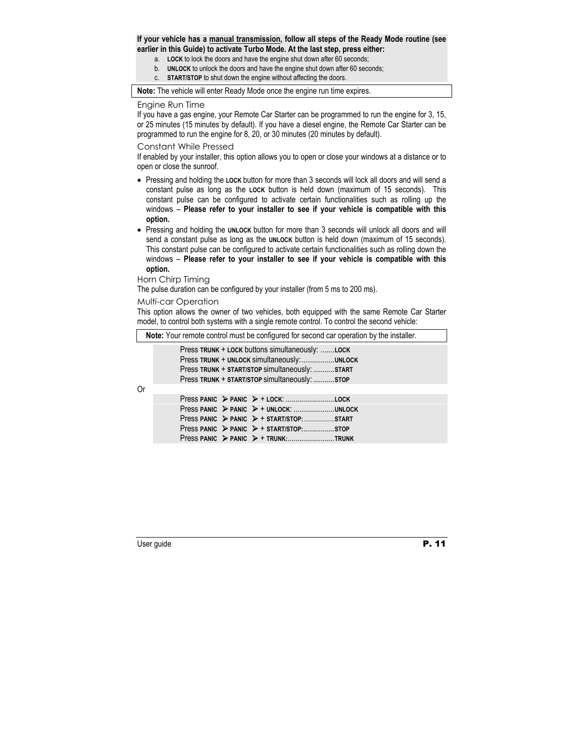#### **If your vehicle has a manual transmission, follow all steps of the Ready Mode routine (see earlier in this Guide) to activate Turbo Mode. At the last step, press either:**

- a. **LOCK** to lock the doors and have the engine shut down after 60 seconds;
- b. **UNLOCK** to unlock the doors and have the engine shut down after 60 seconds;
- c. **START/STOP** to shut down the engine without affecting the doors.

**Note:** The vehicle will enter Ready Mode once the engine run time expires.

#### Engine Run Time

If you have a gas engine, your Remote Car Starter can be programmed to run the engine for 3, 15, or 25 minutes (15 minutes by default). If you have a diesel engine, the Remote Car Starter can be programmed to run the engine for 8, 20, or 30 minutes (20 minutes by default).

#### Constant While Pressed

If enabled by your installer, this option allows you to open or close your windows at a distance or to open or close the sunroof.

- Pressing and holding the **LOCK** button for more than 3 seconds will lock all doors and will send a constant pulse as long as the **LOCK** button is held down (maximum of 15 seconds). This constant pulse can be configured to activate certain functionalities such as rolling up the windows – **Please refer to your installer to see if your vehicle is compatible with this option.**
- Pressing and holding the **UNLOCK** button for more than 3 seconds will unlock all doors and will send a constant pulse as long as the **UNLOCK** button is held down (maximum of 15 seconds). This constant pulse can be configured to activate certain functionalities such as rolling down the windows – **Please refer to your installer to see if your vehicle is compatible with this option.**

#### Horn Chirp Timing

The pulse duration can be configured by your installer (from 5 ms to 200 ms).

#### Multi-car Operation

This option allows the owner of two vehicles, both equipped with the same Remote Car Starter model, to control both systems with a single remote control. To control the second vehicle:

**Note:** Your remote control must be configured for second car operation by the installer.

Press **TRUNK** + **LOCK** buttons simultaneously: .......**LOCK** Press **TRUNK** + **UNLOCK** simultaneously:.................**UNLOCK** Press **TRUNK** + **START/STOP** simultaneously: ...........**START** Press **TRUNK** + **START/STOP** simultaneously: ...........**STOP**

Or

|  | Press PANIC > PANIC > + UNLOCK: UNLOCK                                  |  |
|--|-------------------------------------------------------------------------|--|
|  | Press PANIC $\triangleright$ PANIC $\triangleright$ + START/STOP: START |  |
|  |                                                                         |  |
|  | Press PANIC > PANIC > + TRUNK:TRUNK                                     |  |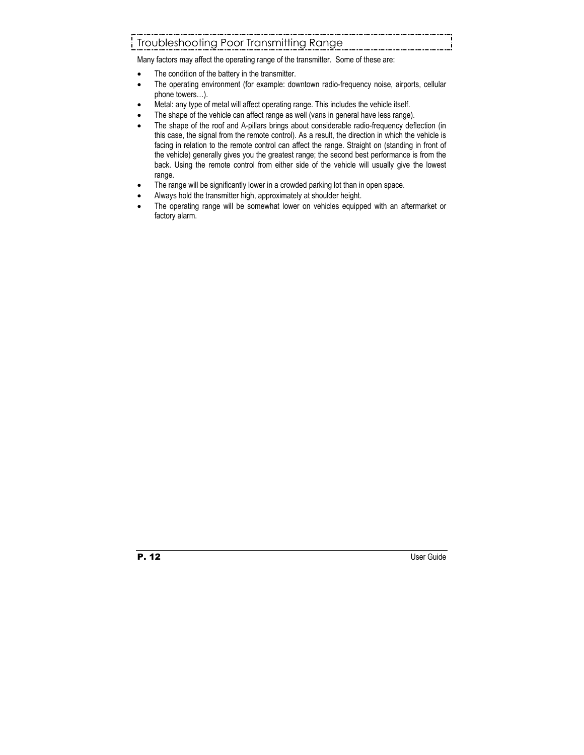# Troubleshooting Poor Transmitting Range

Many factors may affect the operating range of the transmitter. Some of these are:

- The condition of the battery in the transmitter.
- The operating environment (for example: downtown radio-frequency noise, airports, cellular phone towers…).
- Metal: any type of metal will affect operating range. This includes the vehicle itself.
- The shape of the vehicle can affect range as well (vans in general have less range).
- The shape of the roof and A-pillars brings about considerable radio-frequency deflection (in this case, the signal from the remote control). As a result, the direction in which the vehicle is facing in relation to the remote control can affect the range. Straight on (standing in front of the vehicle) generally gives you the greatest range; the second best performance is from the back. Using the remote control from either side of the vehicle will usually give the lowest range.
- The range will be significantly lower in a crowded parking lot than in open space.
- Always hold the transmitter high, approximately at shoulder height.
- The operating range will be somewhat lower on vehicles equipped with an aftermarket or factory alarm.